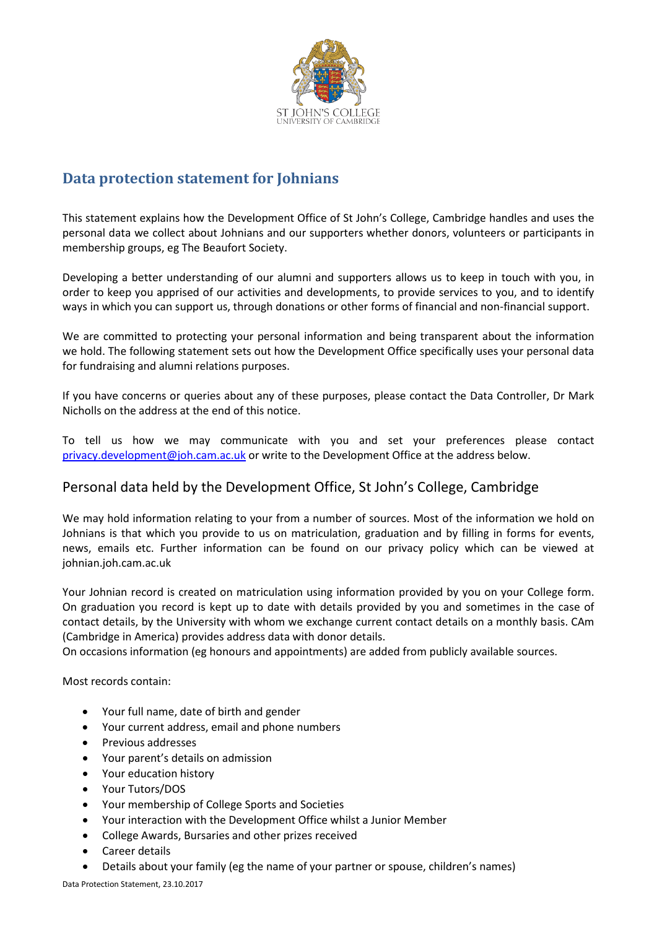

# **Data protection statement for Johnians**

This statement explains how the Development Office of St John's College, Cambridge handles and uses the personal data we collect about Johnians and our supporters whether donors, volunteers or participants in membership groups, eg The Beaufort Society.

Developing a better understanding of our alumni and supporters allows us to keep in touch with you, in order to keep you apprised of our activities and developments, to provide services to you, and to identify ways in which you can support us, through donations or other forms of financial and non-financial support.

We are committed to protecting your personal information and being transparent about the information we hold. The following statement sets out how the Development Office specifically uses your personal data for fundraising and alumni relations purposes.

If you have concerns or queries about any of these purposes, please contact the Data Controller, Dr Mark Nicholls on the address at the end of this notice.

To tell us how we may communicate with you and set your preferences please contact privacy.development@joh.cam.ac.uk or write to the Development Office at the address below.

# Personal data held by the Development Office, St John's College, Cambridge

We may hold information relating to your from a number of sources. Most of the information we hold on Johnians is that which you provide to us on matriculation, graduation and by filling in forms for events, news, emails etc. Further information can be found on our privacy policy which can be viewed at johnian.joh.cam.ac.uk

Your Johnian record is created on matriculation using information provided by you on your College form. On graduation you record is kept up to date with details provided by you and sometimes in the case of contact details, by the University with whom we exchange current contact details on a monthly basis. CAm (Cambridge in America) provides address data with donor details.

On occasions information (eg honours and appointments) are added from publicly available sources.

Most records contain:

- Your full name, date of birth and gender
- Your current address, email and phone numbers
- Previous addresses
- Your parent's details on admission
- Your education history
- Your Tutors/DOS
- Your membership of College Sports and Societies
- Your interaction with the Development Office whilst a Junior Member
- College Awards, Bursaries and other prizes received
- Career details
- Details about your family (eg the name of your partner or spouse, children's names)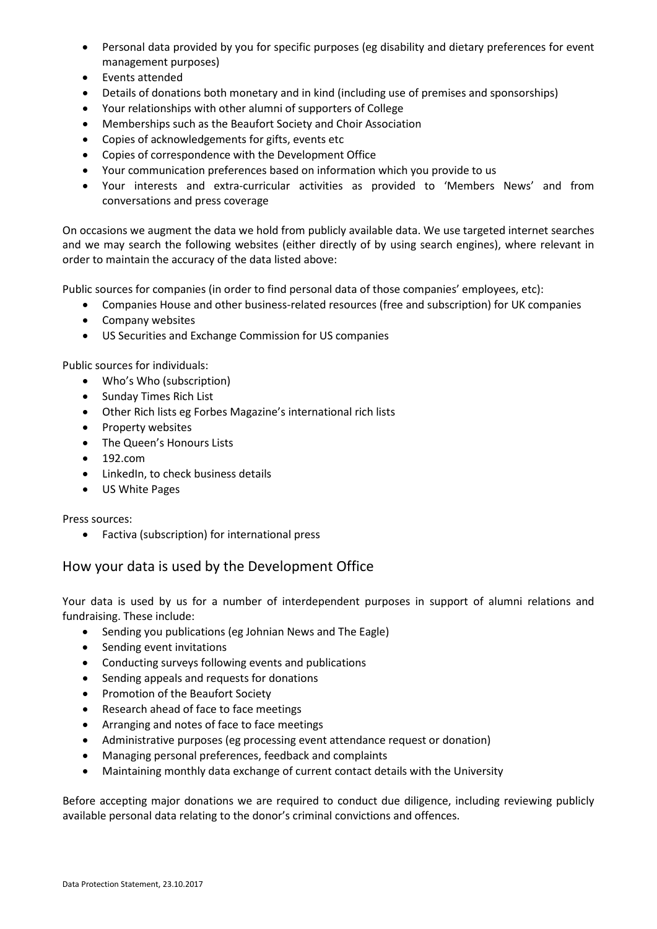- Personal data provided by you for specific purposes (eg disability and dietary preferences for event management purposes)
- Events attended
- Details of donations both monetary and in kind (including use of premises and sponsorships)
- Your relationships with other alumni of supporters of College
- Memberships such as the Beaufort Society and Choir Association
- Copies of acknowledgements for gifts, events etc
- Copies of correspondence with the Development Office
- Your communication preferences based on information which you provide to us
- Your interests and extra-curricular activities as provided to 'Members News' and from conversations and press coverage

On occasions we augment the data we hold from publicly available data. We use targeted internet searches and we may search the following websites (either directly of by using search engines), where relevant in order to maintain the accuracy of the data listed above:

Public sources for companies (in order to find personal data of those companies' employees, etc):

- Companies House and other business-related resources (free and subscription) for UK companies
- Company websites
- US Securities and Exchange Commission for US companies

Public sources for individuals:

- Who's Who (subscription)
- Sunday Times Rich List
- Other Rich lists eg Forbes Magazine's international rich lists
- Property websites
- The Queen's Honours Lists
- 192.com
- LinkedIn, to check business details
- US White Pages

Press sources:

• Factiva (subscription) for international press

## How your data is used by the Development Office

Your data is used by us for a number of interdependent purposes in support of alumni relations and fundraising. These include:

- Sending you publications (eg Johnian News and The Eagle)
- Sending event invitations
- Conducting surveys following events and publications
- Sending appeals and requests for donations
- Promotion of the Beaufort Society
- Research ahead of face to face meetings
- Arranging and notes of face to face meetings
- Administrative purposes (eg processing event attendance request or donation)
- Managing personal preferences, feedback and complaints
- Maintaining monthly data exchange of current contact details with the University

Before accepting major donations we are required to conduct due diligence, including reviewing publicly available personal data relating to the donor's criminal convictions and offences.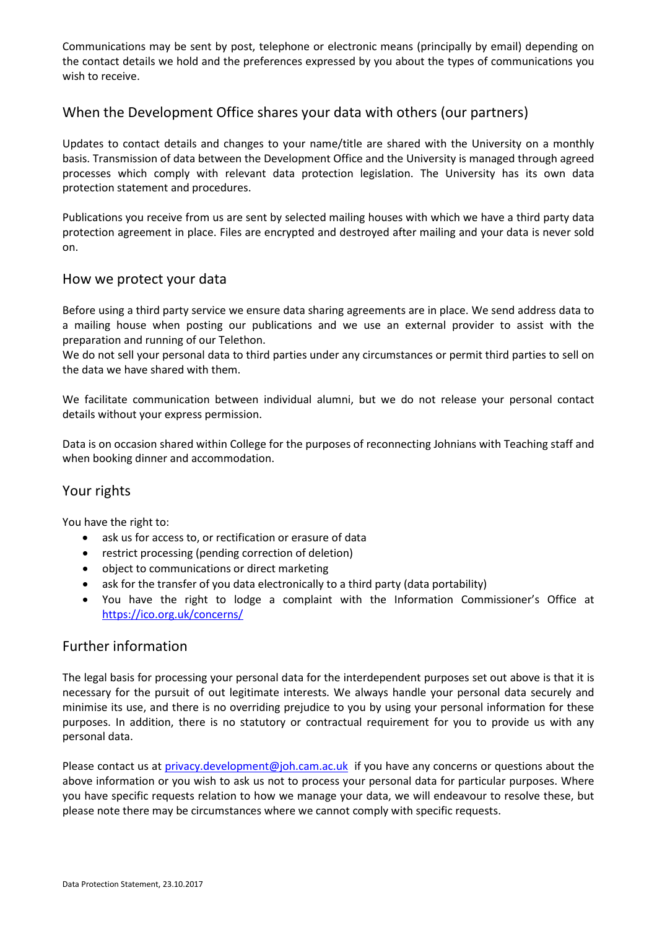Communications may be sent by post, telephone or electronic means (principally by email) depending on the contact details we hold and the preferences expressed by you about the types of communications you wish to receive.

## When the Development Office shares your data with others (our partners)

Updates to contact details and changes to your name/title are shared with the University on a monthly basis. Transmission of data between the Development Office and the University is managed through agreed processes which comply with relevant data protection legislation. The University has its own data protection statement and procedures.

Publications you receive from us are sent by selected mailing houses with which we have a third party data protection agreement in place. Files are encrypted and destroyed after mailing and your data is never sold on.

#### How we protect your data

Before using a third party service we ensure data sharing agreements are in place. We send address data to a mailing house when posting our publications and we use an external provider to assist with the preparation and running of our Telethon.

We do not sell your personal data to third parties under any circumstances or permit third parties to sell on the data we have shared with them.

We facilitate communication between individual alumni, but we do not release your personal contact details without your express permission.

Data is on occasion shared within College for the purposes of reconnecting Johnians with Teaching staff and when booking dinner and accommodation.

## Your rights

You have the right to:

- ask us for access to, or rectification or erasure of data
- restrict processing (pending correction of deletion)
- object to communications or direct marketing
- ask for the transfer of you data electronically to a third party (data portability)
- You have the right to lodge a complaint with the Information Commissioner's Office at <https://ico.org.uk/concerns/>

#### Further information

The legal basis for processing your personal data for the interdependent purposes set out above is that it is necessary for the pursuit of out legitimate interests. We always handle your personal data securely and minimise its use, and there is no overriding prejudice to you by using your personal information for these purposes. In addition, there is no statutory or contractual requirement for you to provide us with any personal data.

Please contact us at [privacy.development@joh.cam.ac.uk](mailto:privacy.development@joh.cam.ac.uk) if you have any concerns or questions about the above information or you wish to ask us not to process your personal data for particular purposes. Where you have specific requests relation to how we manage your data, we will endeavour to resolve these, but please note there may be circumstances where we cannot comply with specific requests.